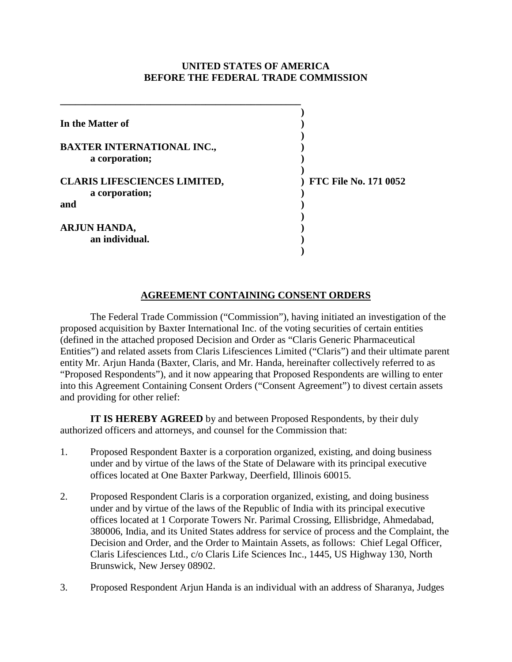### **UNITED STATES OF AMERICA BEFORE THE FEDERAL TRADE COMMISSION**

| In the Matter of                                      |                              |
|-------------------------------------------------------|------------------------------|
| <b>BAXTER INTERNATIONAL INC.,</b><br>a corporation;   |                              |
| <b>CLARIS LIFESCIENCES LIMITED,</b><br>a corporation; | <b>FTC File No. 171 0052</b> |
| and                                                   |                              |
| <b>ARJUN HANDA,</b><br>an individual.                 |                              |

# **AGREEMENT CONTAINING CONSENT ORDERS**

The Federal Trade Commission ("Commission"), having initiated an investigation of the proposed acquisition by Baxter International Inc. of the voting securities of certain entities (defined in the attached proposed Decision and Order as "Claris Generic Pharmaceutical Entities") and related assets from Claris Lifesciences Limited ("Claris") and their ultimate parent entity Mr. Arjun Handa (Baxter, Claris, and Mr. Handa, hereinafter collectively referred to as "Proposed Respondents"), and it now appearing that Proposed Respondents are willing to enter into this Agreement Containing Consent Orders ("Consent Agreement") to divest certain assets and providing for other relief:

**IT IS HEREBY AGREED** by and between Proposed Respondents, by their duly authorized officers and attorneys, and counsel for the Commission that:

- 1. Proposed Respondent Baxter is a corporation organized, existing, and doing business under and by virtue of the laws of the State of Delaware with its principal executive offices located at One Baxter Parkway, Deerfield, Illinois 60015.
- 2. Proposed Respondent Claris is a corporation organized, existing, and doing business under and by virtue of the laws of the Republic of India with its principal executive offices located at 1 Corporate Towers Nr. Parimal Crossing, Ellisbridge, Ahmedabad, 380006, India, and its United States address for service of process and the Complaint, the Decision and Order, and the Order to Maintain Assets, as follows: Chief Legal Officer, Claris Lifesciences Ltd., c/o Claris Life Sciences Inc., 1445, US Highway 130, North Brunswick, New Jersey 08902.
- 3. Proposed Respondent Arjun Handa is an individual with an address of Sharanya, Judges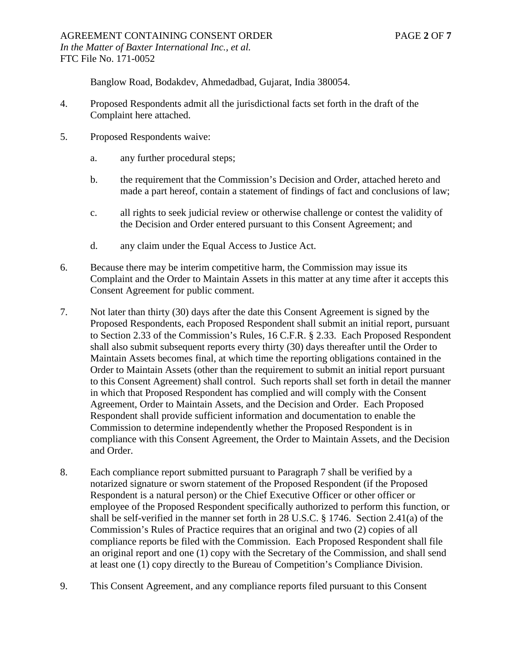Banglow Road, Bodakdev, Ahmedadbad, Gujarat, India 380054.

- 4. Proposed Respondents admit all the jurisdictional facts set forth in the draft of the Complaint here attached.
- 5. Proposed Respondents waive:
	- a. any further procedural steps;
	- b. the requirement that the Commission's Decision and Order, attached hereto and made a part hereof, contain a statement of findings of fact and conclusions of law;
	- c. all rights to seek judicial review or otherwise challenge or contest the validity of the Decision and Order entered pursuant to this Consent Agreement; and
	- d. any claim under the Equal Access to Justice Act.
- 6. Because there may be interim competitive harm, the Commission may issue its Complaint and the Order to Maintain Assets in this matter at any time after it accepts this Consent Agreement for public comment.
- 7. Not later than thirty (30) days after the date this Consent Agreement is signed by the Proposed Respondents, each Proposed Respondent shall submit an initial report, pursuant to Section 2.33 of the Commission's Rules, 16 C.F.R. § 2.33. Each Proposed Respondent shall also submit subsequent reports every thirty (30) days thereafter until the Order to Maintain Assets becomes final, at which time the reporting obligations contained in the Order to Maintain Assets (other than the requirement to submit an initial report pursuant to this Consent Agreement) shall control. Such reports shall set forth in detail the manner in which that Proposed Respondent has complied and will comply with the Consent Agreement, Order to Maintain Assets, and the Decision and Order. Each Proposed Respondent shall provide sufficient information and documentation to enable the Commission to determine independently whether the Proposed Respondent is in compliance with this Consent Agreement, the Order to Maintain Assets, and the Decision and Order.
- 8. Each compliance report submitted pursuant to Paragraph 7 shall be verified by a notarized signature or sworn statement of the Proposed Respondent (if the Proposed Respondent is a natural person) or the Chief Executive Officer or other officer or employee of the Proposed Respondent specifically authorized to perform this function, or shall be self-verified in the manner set forth in 28 U.S.C. § 1746. Section 2.41(a) of the Commission's Rules of Practice requires that an original and two (2) copies of all compliance reports be filed with the Commission. Each Proposed Respondent shall file an original report and one (1) copy with the Secretary of the Commission, and shall send at least one (1) copy directly to the Bureau of Competition's Compliance Division.
- 9. This Consent Agreement, and any compliance reports filed pursuant to this Consent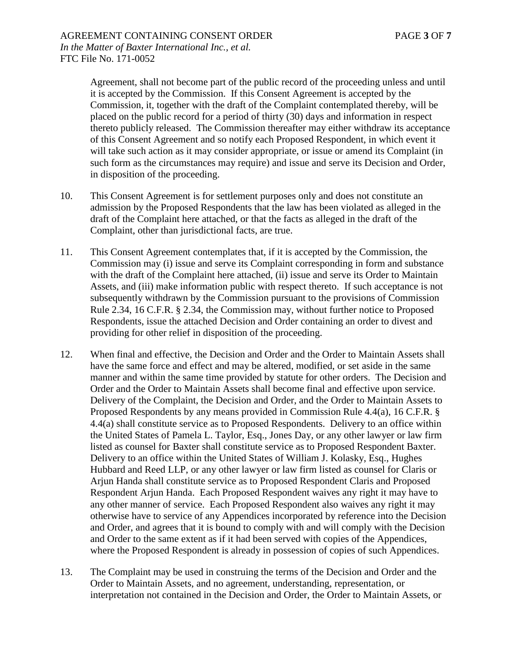Agreement, shall not become part of the public record of the proceeding unless and until it is accepted by the Commission. If this Consent Agreement is accepted by the Commission, it, together with the draft of the Complaint contemplated thereby, will be placed on the public record for a period of thirty (30) days and information in respect thereto publicly released. The Commission thereafter may either withdraw its acceptance of this Consent Agreement and so notify each Proposed Respondent, in which event it will take such action as it may consider appropriate, or issue or amend its Complaint (in such form as the circumstances may require) and issue and serve its Decision and Order, in disposition of the proceeding.

- 10. This Consent Agreement is for settlement purposes only and does not constitute an admission by the Proposed Respondents that the law has been violated as alleged in the draft of the Complaint here attached, or that the facts as alleged in the draft of the Complaint, other than jurisdictional facts, are true.
- 11. This Consent Agreement contemplates that, if it is accepted by the Commission, the Commission may (i) issue and serve its Complaint corresponding in form and substance with the draft of the Complaint here attached, (ii) issue and serve its Order to Maintain Assets, and (iii) make information public with respect thereto. If such acceptance is not subsequently withdrawn by the Commission pursuant to the provisions of Commission Rule 2.34, 16 C.F.R. § 2.34, the Commission may, without further notice to Proposed Respondents, issue the attached Decision and Order containing an order to divest and providing for other relief in disposition of the proceeding.
- 12. When final and effective, the Decision and Order and the Order to Maintain Assets shall have the same force and effect and may be altered, modified, or set aside in the same manner and within the same time provided by statute for other orders. The Decision and Order and the Order to Maintain Assets shall become final and effective upon service. Delivery of the Complaint, the Decision and Order, and the Order to Maintain Assets to Proposed Respondents by any means provided in Commission Rule 4.4(a), 16 C.F.R. § 4.4(a) shall constitute service as to Proposed Respondents. Delivery to an office within the United States of Pamela L. Taylor, Esq., Jones Day, or any other lawyer or law firm listed as counsel for Baxter shall constitute service as to Proposed Respondent Baxter. Delivery to an office within the United States of William J. Kolasky, Esq., Hughes Hubbard and Reed LLP, or any other lawyer or law firm listed as counsel for Claris or Arjun Handa shall constitute service as to Proposed Respondent Claris and Proposed Respondent Arjun Handa. Each Proposed Respondent waives any right it may have to any other manner of service. Each Proposed Respondent also waives any right it may otherwise have to service of any Appendices incorporated by reference into the Decision and Order, and agrees that it is bound to comply with and will comply with the Decision and Order to the same extent as if it had been served with copies of the Appendices, where the Proposed Respondent is already in possession of copies of such Appendices.
- 13. The Complaint may be used in construing the terms of the Decision and Order and the Order to Maintain Assets, and no agreement, understanding, representation, or interpretation not contained in the Decision and Order, the Order to Maintain Assets, or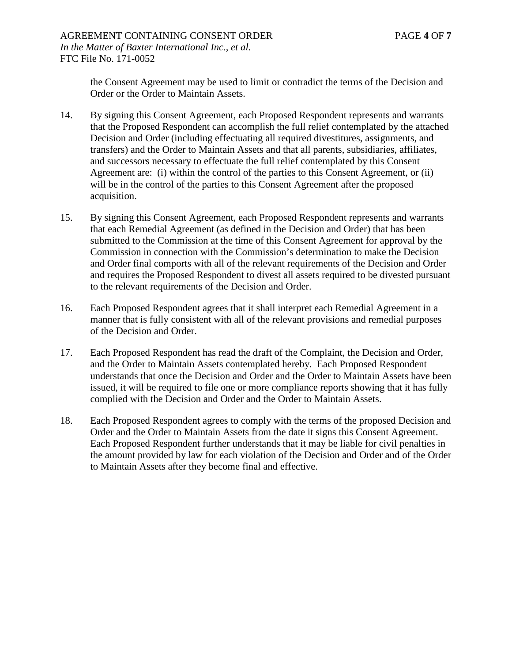AGREEMENT CONTAINING CONSENT ORDER PAGE **4** OF **7** *In the Matter of Baxter International Inc., et al.* FTC File No. 171-0052

the Consent Agreement may be used to limit or contradict the terms of the Decision and Order or the Order to Maintain Assets.

- 14. By signing this Consent Agreement, each Proposed Respondent represents and warrants that the Proposed Respondent can accomplish the full relief contemplated by the attached Decision and Order (including effectuating all required divestitures, assignments, and transfers) and the Order to Maintain Assets and that all parents, subsidiaries, affiliates, and successors necessary to effectuate the full relief contemplated by this Consent Agreement are: (i) within the control of the parties to this Consent Agreement, or (ii) will be in the control of the parties to this Consent Agreement after the proposed acquisition.
- 15. By signing this Consent Agreement, each Proposed Respondent represents and warrants that each Remedial Agreement (as defined in the Decision and Order) that has been submitted to the Commission at the time of this Consent Agreement for approval by the Commission in connection with the Commission's determination to make the Decision and Order final comports with all of the relevant requirements of the Decision and Order and requires the Proposed Respondent to divest all assets required to be divested pursuant to the relevant requirements of the Decision and Order.
- 16. Each Proposed Respondent agrees that it shall interpret each Remedial Agreement in a manner that is fully consistent with all of the relevant provisions and remedial purposes of the Decision and Order.
- 17. Each Proposed Respondent has read the draft of the Complaint, the Decision and Order, and the Order to Maintain Assets contemplated hereby. Each Proposed Respondent understands that once the Decision and Order and the Order to Maintain Assets have been issued, it will be required to file one or more compliance reports showing that it has fully complied with the Decision and Order and the Order to Maintain Assets.
- 18. Each Proposed Respondent agrees to comply with the terms of the proposed Decision and Order and the Order to Maintain Assets from the date it signs this Consent Agreement. Each Proposed Respondent further understands that it may be liable for civil penalties in the amount provided by law for each violation of the Decision and Order and of the Order to Maintain Assets after they become final and effective.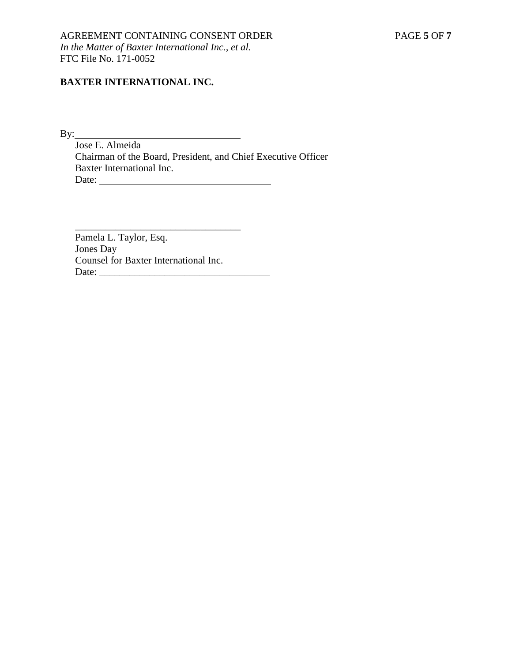# **BAXTER INTERNATIONAL INC.**

By:

 Jose E. Almeida Chairman of the Board, President, and Chief Executive Officer Baxter International Inc. Date:

Pamela L. Taylor, Esq. Jones Day Counsel for Baxter International Inc. Date: \_\_\_\_\_\_\_\_\_\_\_\_\_\_\_\_\_\_\_\_\_\_\_\_\_\_\_\_\_\_\_\_\_\_

 $\overline{\phantom{a}}$  ,  $\overline{\phantom{a}}$  ,  $\overline{\phantom{a}}$  ,  $\overline{\phantom{a}}$  ,  $\overline{\phantom{a}}$  ,  $\overline{\phantom{a}}$  ,  $\overline{\phantom{a}}$  ,  $\overline{\phantom{a}}$  ,  $\overline{\phantom{a}}$  ,  $\overline{\phantom{a}}$  ,  $\overline{\phantom{a}}$  ,  $\overline{\phantom{a}}$  ,  $\overline{\phantom{a}}$  ,  $\overline{\phantom{a}}$  ,  $\overline{\phantom{a}}$  ,  $\overline{\phantom{a}}$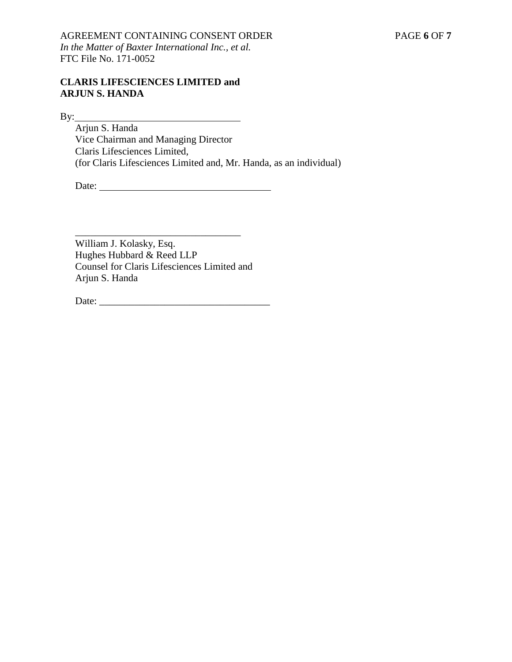### **CLARIS LIFESCIENCES LIMITED and ARJUN S. HANDA**

By:

Arjun S. Handa Vice Chairman and Managing Director Claris Lifesciences Limited, (for Claris Lifesciences Limited and, Mr. Handa, as an individual)

\_\_\_\_\_\_\_\_\_\_\_\_\_\_\_\_\_\_\_\_\_\_\_\_\_\_\_\_\_\_\_\_\_

Date:

William J. Kolasky, Esq. Hughes Hubbard & Reed LLP Counsel for Claris Lifesciences Limited and Arjun S. Handa

Date: \_\_\_\_\_\_\_\_\_\_\_\_\_\_\_\_\_\_\_\_\_\_\_\_\_\_\_\_\_\_\_\_\_\_